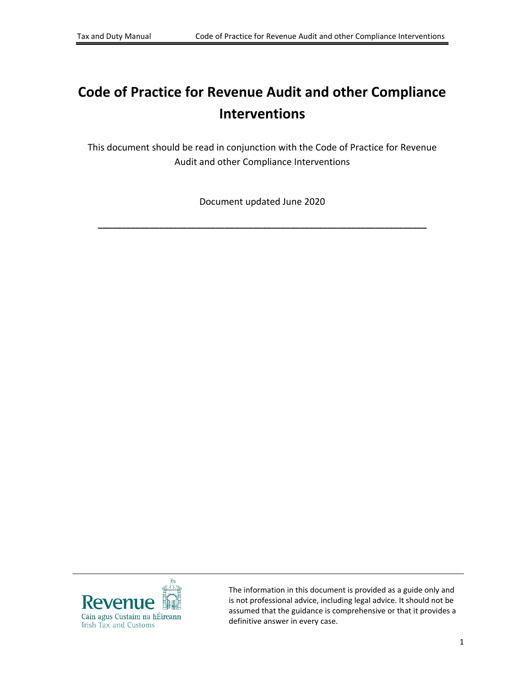## **Code of Practice for Revenue Audit and other Compliance Interventions**

This document should be read in conjunction with the Code of Practice for Revenue Audit and other Compliance Interventions

Document updated June 2020

**\_\_\_\_\_\_\_\_\_\_\_\_\_\_\_\_\_\_\_\_\_\_\_\_\_\_\_\_\_\_\_\_\_\_\_\_\_\_\_\_\_\_\_\_\_\_\_\_\_\_\_\_\_\_\_\_\_\_\_\_\_\_\_\_\_\_\_\_\_\_**



The information in this document is provided as a guide only and is not professional advice, including legal advice. It should not be assumed that the guidance is comprehensive or that it provides a definitive answer in every case.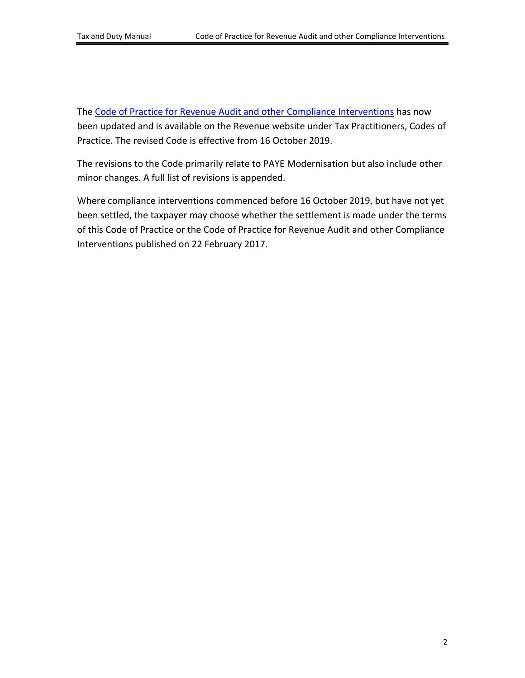The [Code](https://www.revenue.ie/en/self-assessment-and-self-employment/documents/code-of-practice-revenue-audit.pdf) [of](https://www.revenue.ie/en/self-assessment-and-self-employment/documents/code-of-practice-revenue-audit.pdf) [Practice](https://www.revenue.ie/en/self-assessment-and-self-employment/documents/code-of-practice-revenue-audit.pdf) [for](https://www.revenue.ie/en/self-assessment-and-self-employment/documents/code-of-practice-revenue-audit.pdf) [Revenue](https://www.revenue.ie/en/self-assessment-and-self-employment/documents/code-of-practice-revenue-audit.pdf) [Audit](https://www.revenue.ie/en/self-assessment-and-self-employment/documents/code-of-practice-revenue-audit.pdf) [and](https://www.revenue.ie/en/self-assessment-and-self-employment/documents/code-of-practice-revenue-audit.pdf) [other](https://www.revenue.ie/en/self-assessment-and-self-employment/documents/code-of-practice-revenue-audit.pdf) [Compliance](https://www.revenue.ie/en/self-assessment-and-self-employment/documents/code-of-practice-revenue-audit.pdf) [Interventions](https://www.revenue.ie/en/self-assessment-and-self-employment/documents/code-of-practice-revenue-audit.pdf) has now been updated and is available on the Revenue website under Tax Practitioners, Codes of Practice. The revised Code is effective from 16 October 2019.

The revisions to the Code primarily relate to PAYE Modernisation but also include other minor changes. A full list of revisions is appended.

Where compliance interventions commenced before 16 October 2019, but have not yet been settled, the taxpayer may choose whether the settlement is made under the terms of this Code of Practice or the Code of Practice for Revenue Audit and other Compliance Interventions published on 22 February 2017.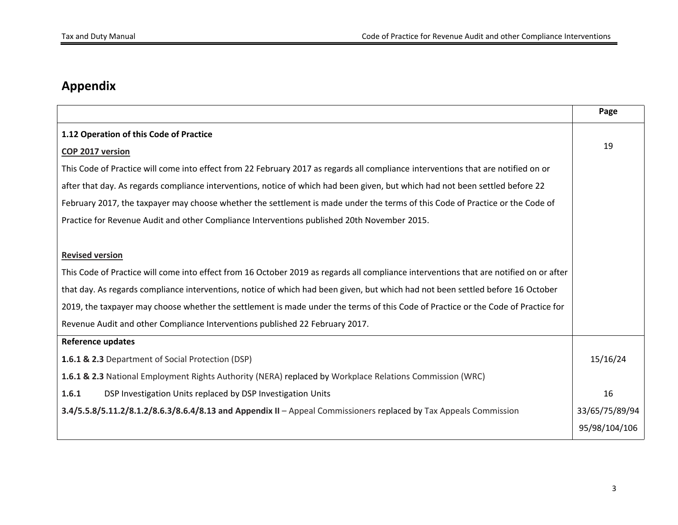## **Appendix**

|                                                                                                                                        | Page           |
|----------------------------------------------------------------------------------------------------------------------------------------|----------------|
| 1.12 Operation of this Code of Practice                                                                                                |                |
| COP 2017 version                                                                                                                       | 19             |
| This Code of Practice will come into effect from 22 February 2017 as regards all compliance interventions that are notified on or      |                |
| after that day. As regards compliance interventions, notice of which had been given, but which had not been settled before 22          |                |
| February 2017, the taxpayer may choose whether the settlement is made under the terms of this Code of Practice or the Code of          |                |
| Practice for Revenue Audit and other Compliance Interventions published 20th November 2015.                                            |                |
|                                                                                                                                        |                |
| <b>Revised version</b>                                                                                                                 |                |
| This Code of Practice will come into effect from 16 October 2019 as regards all compliance interventions that are notified on or after |                |
| that day. As regards compliance interventions, notice of which had been given, but which had not been settled before 16 October        |                |
| 2019, the taxpayer may choose whether the settlement is made under the terms of this Code of Practice or the Code of Practice for      |                |
| Revenue Audit and other Compliance Interventions published 22 February 2017.                                                           |                |
| <b>Reference updates</b>                                                                                                               |                |
| 1.6.1 & 2.3 Department of Social Protection (DSP)                                                                                      | 15/16/24       |
| 1.6.1 & 2.3 National Employment Rights Authority (NERA) replaced by Workplace Relations Commission (WRC)                               |                |
| 1.6.1<br>DSP Investigation Units replaced by DSP Investigation Units                                                                   | 16             |
| 3.4/5.5.8/5.11.2/8.1.2/8.6.3/8.6.4/8.13 and Appendix II - Appeal Commissioners replaced by Tax Appeals Commission                      | 33/65/75/89/94 |
|                                                                                                                                        | 95/98/104/106  |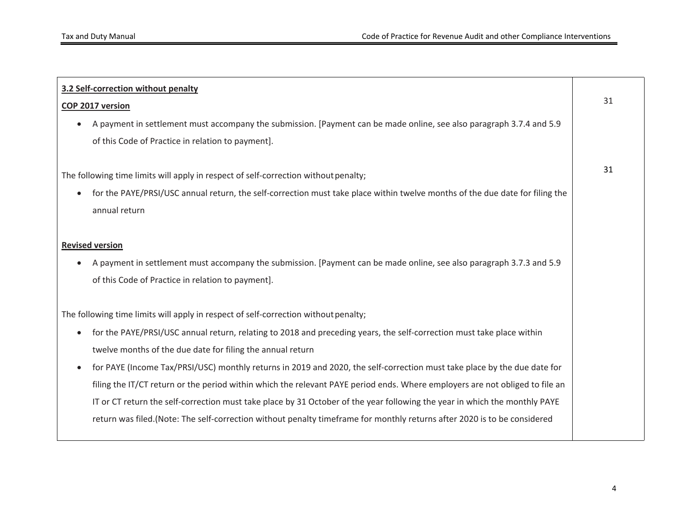| 3.2 Self-correction without penalty                                                                                                       |    |
|-------------------------------------------------------------------------------------------------------------------------------------------|----|
| COP 2017 version                                                                                                                          | 31 |
| A payment in settlement must accompany the submission. [Payment can be made online, see also paragraph 3.7.4 and 5.9                      |    |
| of this Code of Practice in relation to payment].                                                                                         |    |
| The following time limits will apply in respect of self-correction without penalty;                                                       | 31 |
| for the PAYE/PRSI/USC annual return, the self-correction must take place within twelve months of the due date for filing the<br>$\bullet$ |    |
| annual return                                                                                                                             |    |
|                                                                                                                                           |    |
| <b>Revised version</b>                                                                                                                    |    |
| A payment in settlement must accompany the submission. [Payment can be made online, see also paragraph 3.7.3 and 5.9                      |    |
| of this Code of Practice in relation to payment].                                                                                         |    |
| The following time limits will apply in respect of self-correction without penalty;                                                       |    |
| for the PAYE/PRSI/USC annual return, relating to 2018 and preceding years, the self-correction must take place within<br>$\bullet$        |    |
| twelve months of the due date for filing the annual return                                                                                |    |
| for PAYE (Income Tax/PRSI/USC) monthly returns in 2019 and 2020, the self-correction must take place by the due date for<br>$\bullet$     |    |
| filing the IT/CT return or the period within which the relevant PAYE period ends. Where employers are not obliged to file an              |    |
| IT or CT return the self-correction must take place by 31 October of the year following the year in which the monthly PAYE                |    |
| return was filed.(Note: The self-correction without penalty timeframe for monthly returns after 2020 is to be considered                  |    |
|                                                                                                                                           |    |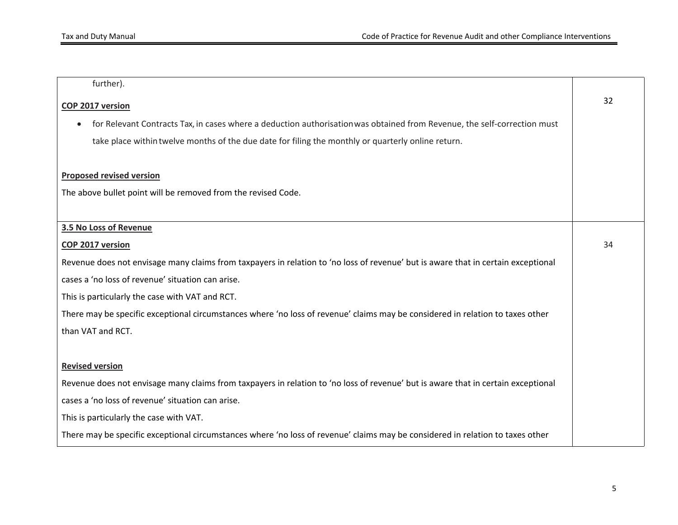| further).                                                                                                                         |    |
|-----------------------------------------------------------------------------------------------------------------------------------|----|
| COP 2017 version                                                                                                                  | 32 |
| for Relevant Contracts Tax, in cases where a deduction authorisation was obtained from Revenue, the self-correction must          |    |
| take place within twelve months of the due date for filing the monthly or quarterly online return.                                |    |
|                                                                                                                                   |    |
| <b>Proposed revised version</b>                                                                                                   |    |
| The above bullet point will be removed from the revised Code.                                                                     |    |
|                                                                                                                                   |    |
| 3.5 No Loss of Revenue                                                                                                            |    |
| COP 2017 version                                                                                                                  | 34 |
| Revenue does not envisage many claims from taxpayers in relation to 'no loss of revenue' but is aware that in certain exceptional |    |
| cases a 'no loss of revenue' situation can arise.                                                                                 |    |
| This is particularly the case with VAT and RCT.                                                                                   |    |
| There may be specific exceptional circumstances where 'no loss of revenue' claims may be considered in relation to taxes other    |    |
| than VAT and RCT.                                                                                                                 |    |
|                                                                                                                                   |    |
| <b>Revised version</b>                                                                                                            |    |
| Revenue does not envisage many claims from taxpayers in relation to 'no loss of revenue' but is aware that in certain exceptional |    |
| cases a 'no loss of revenue' situation can arise.                                                                                 |    |
| This is particularly the case with VAT.                                                                                           |    |
| There may be specific exceptional circumstances where 'no loss of revenue' claims may be considered in relation to taxes other    |    |
|                                                                                                                                   |    |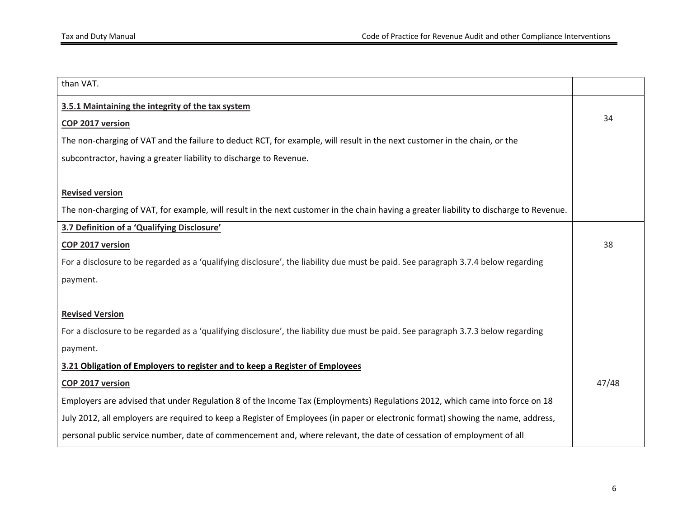| than VAT.                                                                                                                               |       |
|-----------------------------------------------------------------------------------------------------------------------------------------|-------|
| 3.5.1 Maintaining the integrity of the tax system                                                                                       |       |
| COP 2017 version                                                                                                                        | 34    |
| The non-charging of VAT and the failure to deduct RCT, for example, will result in the next customer in the chain, or the               |       |
| subcontractor, having a greater liability to discharge to Revenue.                                                                      |       |
|                                                                                                                                         |       |
| <b>Revised version</b>                                                                                                                  |       |
| The non-charging of VAT, for example, will result in the next customer in the chain having a greater liability to discharge to Revenue. |       |
| 3.7 Definition of a 'Qualifying Disclosure'                                                                                             |       |
| COP 2017 version                                                                                                                        | 38    |
| For a disclosure to be regarded as a 'qualifying disclosure', the liability due must be paid. See paragraph 3.7.4 below regarding       |       |
| payment.                                                                                                                                |       |
|                                                                                                                                         |       |
| <b>Revised Version</b>                                                                                                                  |       |
| For a disclosure to be regarded as a 'qualifying disclosure', the liability due must be paid. See paragraph 3.7.3 below regarding       |       |
| payment.                                                                                                                                |       |
| 3.21 Obligation of Employers to register and to keep a Register of Employees                                                            |       |
| COP 2017 version                                                                                                                        | 47/48 |
| Employers are advised that under Regulation 8 of the Income Tax (Employments) Regulations 2012, which came into force on 18             |       |
| July 2012, all employers are required to keep a Register of Employees (in paper or electronic format) showing the name, address,        |       |
| personal public service number, date of commencement and, where relevant, the date of cessation of employment of all                    |       |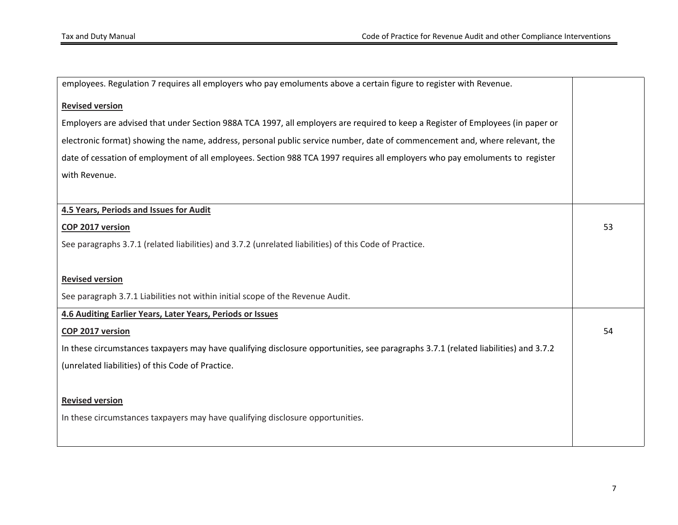| employees. Regulation 7 requires all employers who pay emoluments above a certain figure to register with Revenue.                  |    |
|-------------------------------------------------------------------------------------------------------------------------------------|----|
| <b>Revised version</b>                                                                                                              |    |
| Employers are advised that under Section 988A TCA 1997, all employers are required to keep a Register of Employees (in paper or     |    |
| electronic format) showing the name, address, personal public service number, date of commencement and, where relevant, the         |    |
| date of cessation of employment of all employees. Section 988 TCA 1997 requires all employers who pay emoluments to register        |    |
| with Revenue.                                                                                                                       |    |
|                                                                                                                                     |    |
| <b>4.5 Years, Periods and Issues for Audit</b>                                                                                      |    |
| COP 2017 version                                                                                                                    | 53 |
| See paragraphs 3.7.1 (related liabilities) and 3.7.2 (unrelated liabilities) of this Code of Practice.                              |    |
|                                                                                                                                     |    |
| <b>Revised version</b>                                                                                                              |    |
| See paragraph 3.7.1 Liabilities not within initial scope of the Revenue Audit.                                                      |    |
| 4.6 Auditing Earlier Years, Later Years, Periods or Issues                                                                          |    |
| COP 2017 version                                                                                                                    | 54 |
| In these circumstances taxpayers may have qualifying disclosure opportunities, see paragraphs 3.7.1 (related liabilities) and 3.7.2 |    |
| (unrelated liabilities) of this Code of Practice.                                                                                   |    |
|                                                                                                                                     |    |
| <b>Revised version</b>                                                                                                              |    |
| In these circumstances taxpayers may have qualifying disclosure opportunities.                                                      |    |
|                                                                                                                                     |    |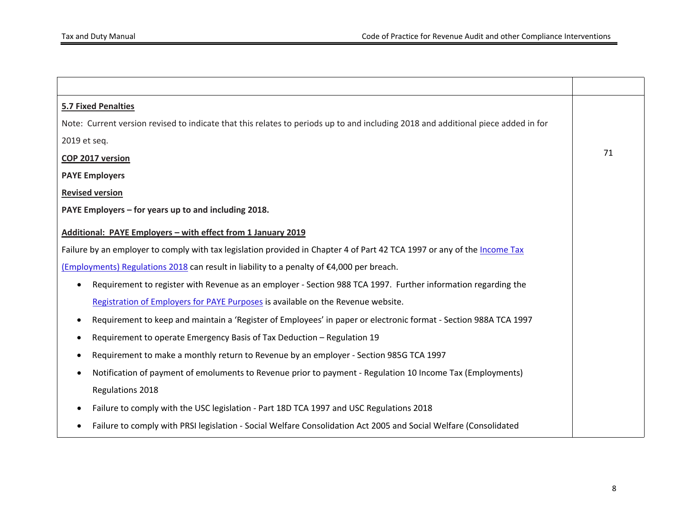| <b>5.7 Fixed Penalties</b>                                                                                                        |    |
|-----------------------------------------------------------------------------------------------------------------------------------|----|
| Note: Current version revised to indicate that this relates to periods up to and including 2018 and additional piece added in for |    |
| 2019 et seq.                                                                                                                      |    |
| COP 2017 version                                                                                                                  | 71 |
| <b>PAYE Employers</b>                                                                                                             |    |
| <b>Revised version</b>                                                                                                            |    |
| PAYE Employers – for years up to and including 2018.                                                                              |    |
| Additional: PAYE Employers - with effect from 1 January 2019                                                                      |    |
| Failure by an employer to comply with tax legislation provided in Chapter 4 of Part 42 TCA 1997 or any of the Income Tax          |    |
| (Employments) Regulations 2018 can result in liability to a penalty of €4,000 per breach.                                         |    |
| Requirement to register with Revenue as an employer - Section 988 TCA 1997. Further information regarding the<br>$\bullet$        |    |
| Registration of Employers for PAYE Purposes is available on the Revenue website.                                                  |    |
| Requirement to keep and maintain a 'Register of Employees' in paper or electronic format - Section 988A TCA 1997<br>$\bullet$     |    |
| Requirement to operate Emergency Basis of Tax Deduction - Regulation 19                                                           |    |
| Requirement to make a monthly return to Revenue by an employer - Section 985G TCA 1997                                            |    |
| Notification of payment of emoluments to Revenue prior to payment - Regulation 10 Income Tax (Employments)<br>٠                   |    |
| Regulations 2018                                                                                                                  |    |
| Failure to comply with the USC legislation - Part 18D TCA 1997 and USC Regulations 2018                                           |    |
| Failure to comply with PRSI legislation - Social Welfare Consolidation Act 2005 and Social Welfare (Consolidated                  |    |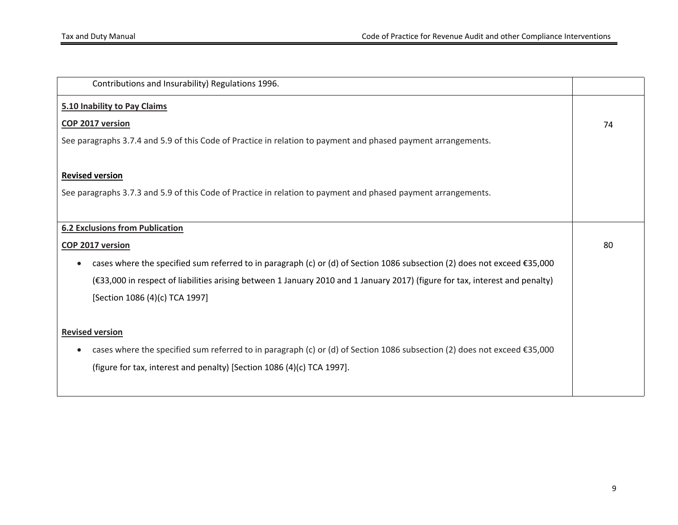| Contributions and Insurability) Regulations 1996.                                                                                     |    |
|---------------------------------------------------------------------------------------------------------------------------------------|----|
| 5.10 Inability to Pay Claims                                                                                                          |    |
| COP 2017 version                                                                                                                      | 74 |
| See paragraphs 3.7.4 and 5.9 of this Code of Practice in relation to payment and phased payment arrangements.                         |    |
|                                                                                                                                       |    |
| <b>Revised version</b>                                                                                                                |    |
| See paragraphs 3.7.3 and 5.9 of this Code of Practice in relation to payment and phased payment arrangements.                         |    |
|                                                                                                                                       |    |
| <b>6.2 Exclusions from Publication</b>                                                                                                |    |
| COP 2017 version                                                                                                                      | 80 |
| cases where the specified sum referred to in paragraph (c) or (d) of Section 1086 subsection (2) does not exceed €35,000              |    |
| (€33,000 in respect of liabilities arising between 1 January 2010 and 1 January 2017) (figure for tax, interest and penalty)          |    |
| [Section 1086 (4)(c) TCA 1997]                                                                                                        |    |
|                                                                                                                                       |    |
| <b>Revised version</b>                                                                                                                |    |
| cases where the specified sum referred to in paragraph (c) or (d) of Section 1086 subsection (2) does not exceed €35,000<br>$\bullet$ |    |
| (figure for tax, interest and penalty) [Section 1086 (4)(c) TCA 1997].                                                                |    |
|                                                                                                                                       |    |